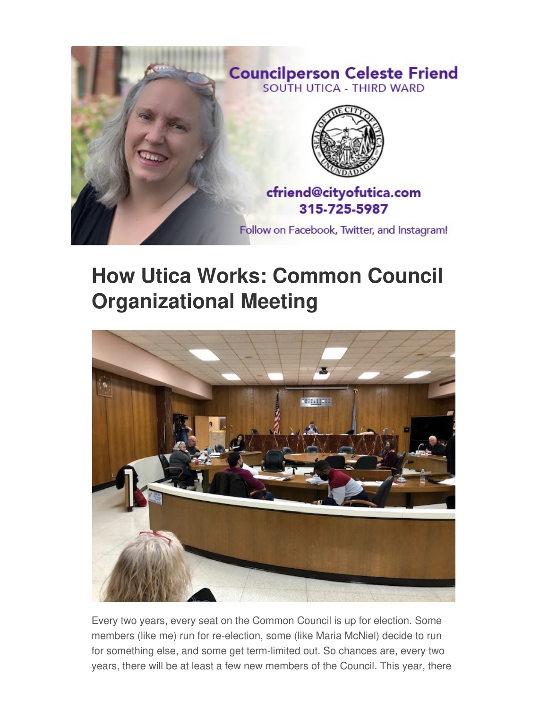

## **How Utica Works: Common Council Organizational Meeting**



Every two years, every seat on the Common Council is up for election. Some members (like me) run for re-election, some (like Maria McNiel) decide to run for something else, and some get term-limited out. So chances are, every two years, there will be at least a few new members of the Council. This year, there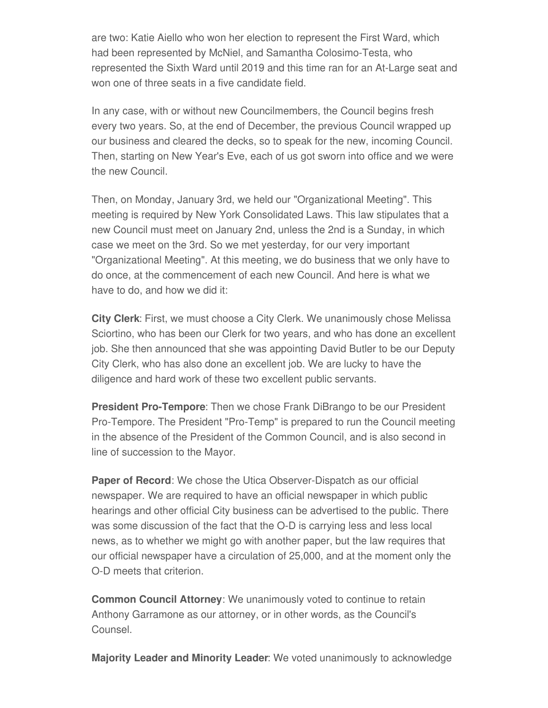are two: Katie Aiello who won her election to represent the First Ward, which had been represented by McNiel, and Samantha Colosimo-Testa, who represented the Sixth Ward until 2019 and this time ran for an At-Large seat and won one of three seats in a five candidate field.

In any case, with or without new Councilmembers, the Council begins fresh every two years. So, at the end of December, the previous Council wrapped up our business and cleared the decks, so to speak for the new, incoming Council. Then, starting on New Year's Eve, each of us got sworn into office and we were the new Council.

Then, on Monday, January 3rd, we held our "Organizational Meeting". This meeting is required by New York Consolidated Laws. This law stipulates that a new Council must meet on January 2nd, unless the 2nd is a Sunday, in which case we meet on the 3rd. So we met yesterday, for our very important "Organizational Meeting". At this meeting, we do business that we only have to do once, at the commencement of each new Council. And here is what we have to do, and how we did it:

**City Clerk**: First, we must choose a City Clerk. We unanimously chose Melissa Sciortino, who has been our Clerk for two years, and who has done an excellent job. She then announced that she was appointing David Butler to be our Deputy City Clerk, who has also done an excellent job. We are lucky to have the diligence and hard work of these two excellent public servants.

**President Pro-Tempore**: Then we chose Frank DiBrango to be our President Pro-Tempore. The President "Pro-Temp" is prepared to run the Council meeting in the absence of the President of the Common Council, and is also second in line of succession to the Mayor.

**Paper of Record**: We chose the Utica Observer-Dispatch as our official newspaper. We are required to have an official newspaper in which public hearings and other official City business can be advertised to the public. There was some discussion of the fact that the O-D is carrying less and less local news, as to whether we might go with another paper, but the law requires that our official newspaper have a circulation of 25,000, and at the moment only the O-D meets that criterion.

**Common Council Attorney**: We unanimously voted to continue to retain Anthony Garramone as our attorney, or in other words, as the Council's Counsel.

**Majority Leader and Minority Leader**: We voted unanimously to acknowledge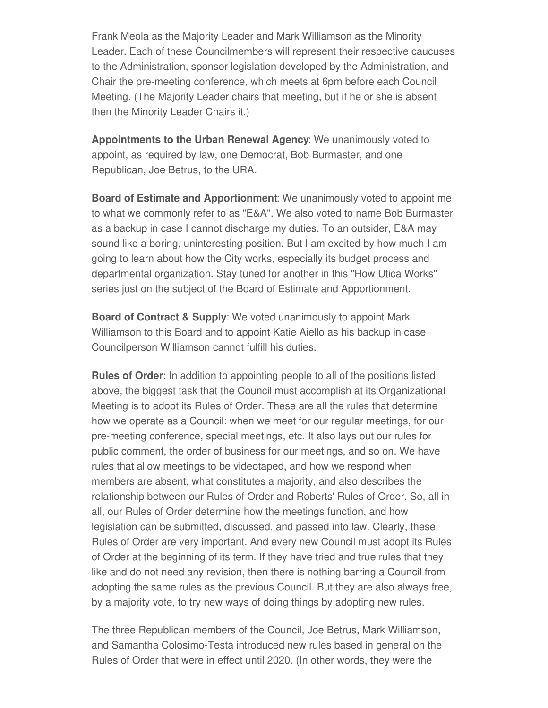Frank Meola as the Majority Leader and Mark Williamson as the Minority Leader. Each of these Councilmembers will represent their respective caucuses to the Administration, sponsor legislation developed by the Administration, and Chair the pre-meeting conference, which meets at 6pm before each Council Meeting. (The Majority Leader chairs that meeting, but if he or she is absent then the Minority Leader Chairs it.)

**Appointments to the Urban Renewal Agency**: We unanimously voted to appoint, as required by law, one Democrat, Bob Burmaster, and one Republican, Joe Betrus, to the URA.

**Board of Estimate and Apportionment**: We unanimously voted to appoint me to what we commonly refer to as "E&A". We also voted to name Bob Burmaster as a backup in case I cannot discharge my duties. To an outsider, E&A may sound like a boring, uninteresting position. But I am excited by how much I am going to learn about how the City works, especially its budget process and departmental organization. Stay tuned for another in this "How Utica Works" series just on the subject of the Board of Estimate and Apportionment.

**Board of Contract & Supply**: We voted unanimously to appoint Mark Williamson to this Board and to appoint Katie Aiello as his backup in case Councilperson Williamson cannot fulfill his duties.

**Rules of Order**: In addition to appointing people to all of the positions listed above, the biggest task that the Council must accomplish at its Organizational Meeting is to adopt its Rules of Order. These are all the rules that determine how we operate as a Council: when we meet for our regular meetings, for our pre-meeting conference, special meetings, etc. It also lays out our rules for public comment, the order of business for our meetings, and so on. We have rules that allow meetings to be videotaped, and how we respond when members are absent, what constitutes a majority, and also describes the relationship between our Rules of Order and Roberts' Rules of Order. So, all in all, our Rules of Order determine how the meetings function, and how legislation can be submitted, discussed, and passed into law. Clearly, these Rules of Order are very important. And every new Council must adopt its Rules of Order at the beginning of its term. If they have tried and true rules that they like and do not need any revision, then there is nothing barring a Council from adopting the same rules as the previous Council. But they are also always free, by a majority vote, to try new ways of doing things by adopting new rules.

The three Republican members of the Council, Joe Betrus, Mark Williamson, and Samantha Colosimo-Testa introduced new rules based in general on the Rules of Order that were in effect until 2020. (In other words, they were the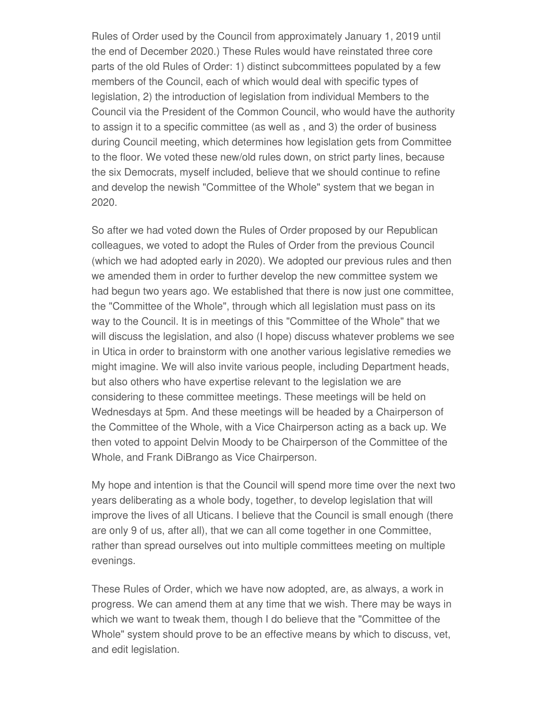Rules of Order used by the Council from approximately January 1, 2019 until the end of December 2020.) These Rules would have reinstated three core parts of the old Rules of Order: 1) distinct subcommittees populated by a few members of the Council, each of which would deal with specific types of legislation, 2) the introduction of legislation from individual Members to the Council via the President of the Common Council, who would have the authority to assign it to a specific committee (as well as , and 3) the order of business during Council meeting, which determines how legislation gets from Committee to the floor. We voted these new/old rules down, on strict party lines, because the six Democrats, myself included, believe that we should continue to refine and develop the newish "Committee of the Whole" system that we began in 2020.

So after we had voted down the Rules of Order proposed by our Republican colleagues, we voted to adopt the Rules of Order from the previous Council (which we had adopted early in 2020). We adopted our previous rules and then we amended them in order to further develop the new committee system we had begun two years ago. We established that there is now just one committee, the "Committee of the Whole", through which all legislation must pass on its way to the Council. It is in meetings of this "Committee of the Whole" that we will discuss the legislation, and also (I hope) discuss whatever problems we see in Utica in order to brainstorm with one another various legislative remedies we might imagine. We will also invite various people, including Department heads, but also others who have expertise relevant to the legislation we are considering to these committee meetings. These meetings will be held on Wednesdays at 5pm. And these meetings will be headed by a Chairperson of the Committee of the Whole, with a Vice Chairperson acting as a back up. We then voted to appoint Delvin Moody to be Chairperson of the Committee of the Whole, and Frank DiBrango as Vice Chairperson.

My hope and intention is that the Council will spend more time over the next two years deliberating as a whole body, together, to develop legislation that will improve the lives of all Uticans. I believe that the Council is small enough (there are only 9 of us, after all), that we can all come together in one Committee, rather than spread ourselves out into multiple committees meeting on multiple evenings.

These Rules of Order, which we have now adopted, are, as always, a work in progress. We can amend them at any time that we wish. There may be ways in which we want to tweak them, though I do believe that the "Committee of the Whole" system should prove to be an effective means by which to discuss, vet, and edit legislation.